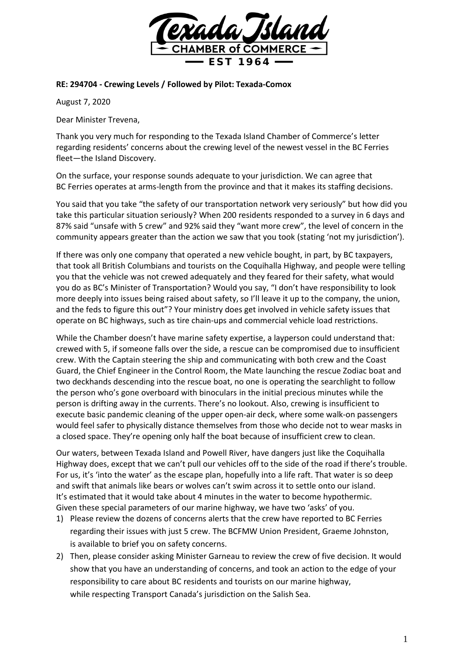

## **RE: 294704 - Crewing Levels / Followed by Pilot: Texada-Comox**

August 7, 2020

Dear Minister Trevena,

Thank you very much for responding to the Texada Island Chamber of Commerce's letter regarding residents' concerns about the crewing level of the newest vessel in the BC Ferries fleet—the Island Discovery.

On the surface, your response sounds adequate to your jurisdiction. We can agree that BC Ferries operates at arms-length from the province and that it makes its staffing decisions.

You said that you take "the safety of our transportation network very seriously" but how did you take this particular situation seriously? When 200 residents responded to a survey in 6 days and 87% said "unsafe with 5 crew" and 92% said they "want more crew", the level of concern in the community appears greater than the action we saw that you took (stating 'not my jurisdiction').

If there was only one company that operated a new vehicle bought, in part, by BC taxpayers, that took all British Columbians and tourists on the Coquihalla Highway, and people were telling you that the vehicle was not crewed adequately and they feared for their safety, what would you do as BC's Minister of Transportation? Would you say, "I don't have responsibility to look more deeply into issues being raised about safety, so I'll leave it up to the company, the union, and the feds to figure this out"? Your ministry does get involved in vehicle safety issues that operate on BC highways, such as tire chain-ups and commercial vehicle load restrictions.

While the Chamber doesn't have marine safety expertise, a layperson could understand that: crewed with 5, if someone falls over the side, a rescue can be compromised due to insufficient crew. With the Captain steering the ship and communicating with both crew and the Coast Guard, the Chief Engineer in the Control Room, the Mate launching the rescue Zodiac boat and two deckhands descending into the rescue boat, no one is operating the searchlight to follow the person who's gone overboard with binoculars in the initial precious minutes while the person is drifting away in the currents. There's no lookout. Also, crewing is insufficient to execute basic pandemic cleaning of the upper open-air deck, where some walk-on passengers would feel safer to physically distance themselves from those who decide not to wear masks in a closed space. They're opening only half the boat because of insufficient crew to clean.

Our waters, between Texada Island and Powell River, have dangers just like the Coquihalla Highway does, except that we can't pull our vehicles off to the side of the road if there's trouble. For us, it's 'into the water' as the escape plan, hopefully into a life raft. That water is so deep and swift that animals like bears or wolves can't swim across it to settle onto our island. It's estimated that it would take about 4 minutes in the water to become hypothermic. Given these special parameters of our marine highway, we have two 'asks' of you.

- 1) Please review the dozens of concerns alerts that the crew have reported to BC Ferries regarding their issues with just 5 crew. The BCFMW Union President, Graeme Johnston, is available to brief you on safety concerns.
- 2) Then, please consider asking Minister Garneau to review the crew of five decision. It would show that you have an understanding of concerns, and took an action to the edge of your responsibility to care about BC residents and tourists on our marine highway, while respecting Transport Canada's jurisdiction on the Salish Sea.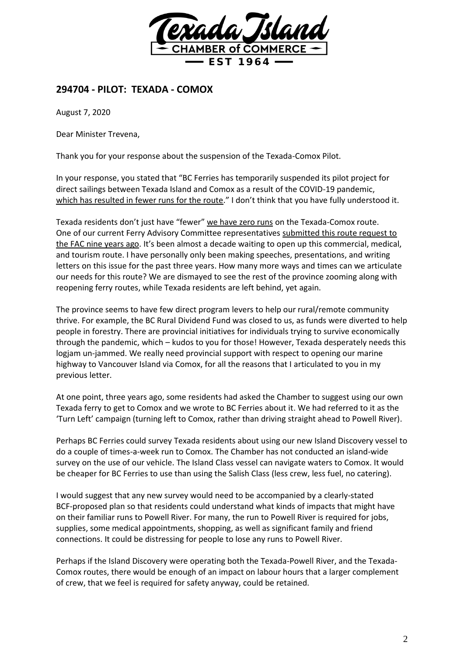

## **294704 - PILOT: TEXADA - COMOX**

August 7, 2020

Dear Minister Trevena,

Thank you for your response about the suspension of the Texada-Comox Pilot.

In your response, you stated that "BC Ferries has temporarily suspended its pilot project for direct sailings between Texada Island and Comox as a result of the COVID-19 pandemic, which has resulted in fewer runs for the route." I don't think that you have fully understood it.

Texada residents don't just have "fewer" we have zero runs on the Texada-Comox route. One of our current Ferry Advisory Committee representatives submitted this route request to the FAC nine years ago. It's been almost a decade waiting to open up this commercial, medical, and tourism route. I have personally only been making speeches, presentations, and writing letters on this issue for the past three years. How many more ways and times can we articulate our needs for this route? We are dismayed to see the rest of the province zooming along with reopening ferry routes, while Texada residents are left behind, yet again.

The province seems to have few direct program levers to help our rural/remote community thrive. For example, the BC Rural Dividend Fund was closed to us, as funds were diverted to help people in forestry. There are provincial initiatives for individuals trying to survive economically through the pandemic, which – kudos to you for those! However, Texada desperately needs this logjam un-jammed. We really need provincial support with respect to opening our marine highway to Vancouver Island via Comox, for all the reasons that I articulated to you in my previous letter.

At one point, three years ago, some residents had asked the Chamber to suggest using our own Texada ferry to get to Comox and we wrote to BC Ferries about it. We had referred to it as the 'Turn Left' campaign (turning left to Comox, rather than driving straight ahead to Powell River).

Perhaps BC Ferries could survey Texada residents about using our new Island Discovery vessel to do a couple of times-a-week run to Comox. The Chamber has not conducted an island-wide survey on the use of our vehicle. The Island Class vessel can navigate waters to Comox. It would be cheaper for BC Ferries to use than using the Salish Class (less crew, less fuel, no catering).

I would suggest that any new survey would need to be accompanied by a clearly-stated BCF-proposed plan so that residents could understand what kinds of impacts that might have on their familiar runs to Powell River. For many, the run to Powell River is required for jobs, supplies, some medical appointments, shopping, as well as significant family and friend connections. It could be distressing for people to lose any runs to Powell River.

Perhaps if the Island Discovery were operating both the Texada-Powell River, and the Texada-Comox routes, there would be enough of an impact on labour hours that a larger complement of crew, that we feel is required for safety anyway, could be retained.